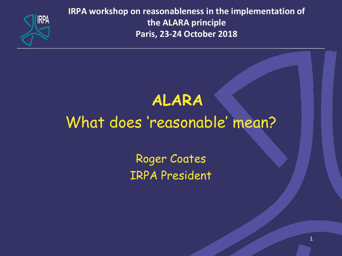

**IRPA workshop on reasonableness in the implementation of the ALARA principle Paris, 23-24 October 2018**

## **ALARA**

# What does 'reasonable' mean?

Roger Coates IRPA President

1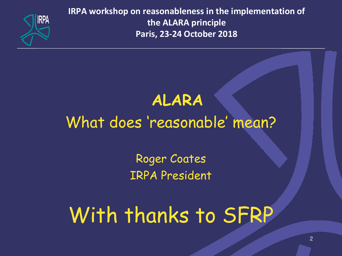

**IRPA workshop on reasonableness in the implementation of the ALARA principle Paris, 23-24 October 2018**

## **ALARA**

# What does 'reasonable' mean?

Roger Coates IRPA President

With thanks to SFRP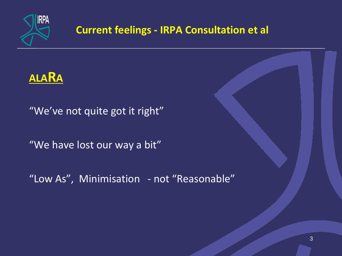

#### **Current feelings - IRPA Consultation et al**



"We've not quite got it right"

"We have lost our way a bit"

"Low As", Minimisation - not "Reasonable"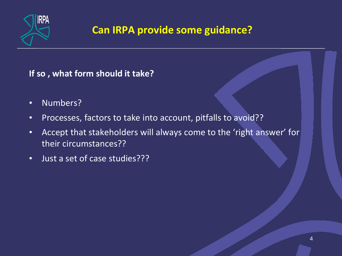

#### **Can IRPA provide some guidance?**

**If so , what form should it take?**

- Numbers?
- Processes, factors to take into account, pitfalls to avoid??
- Accept that stakeholders will always come to the 'right answer' for their circumstances??
- Just a set of case studies???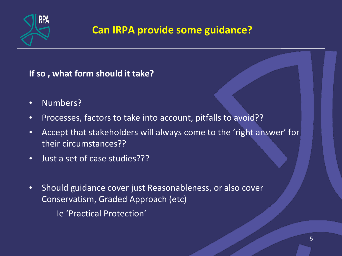

#### **Can IRPA provide some guidance?**

**If so , what form should it take?**

- Numbers?
- Processes, factors to take into account, pitfalls to avoid??
- Accept that stakeholders will always come to the 'right answer' for their circumstances??
- Just a set of case studies???
- Should guidance cover just Reasonableness, or also cover Conservatism, Graded Approach (etc)
	- Ie 'Practical Protection'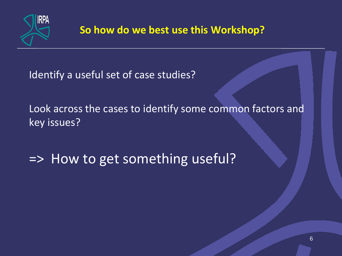

Identify a useful set of case studies?

Look across the cases to identify some common factors and key issues?

=> How to get something useful?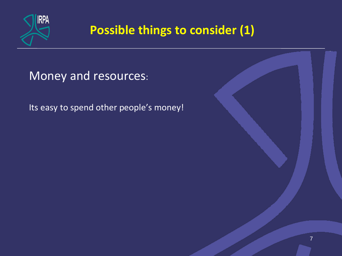

Money and resources:

Its easy to spend other people's money!

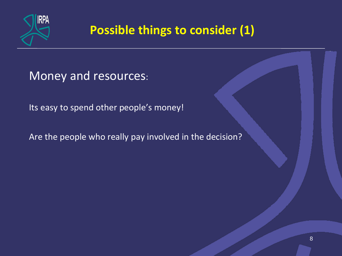

Money and resources:

Its easy to spend other people's money!

Are the people who really pay involved in the decision?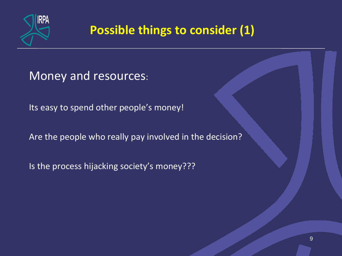

Money and resources:

Its easy to spend other people's money!

Are the people who really pay involved in the decision?

Is the process hijacking society's money???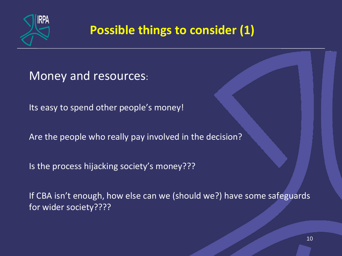

Money and resources:

Its easy to spend other people's money!

Are the people who really pay involved in the decision?

Is the process hijacking society's money???

If CBA isn't enough, how else can we (should we?) have some safeguards for wider society????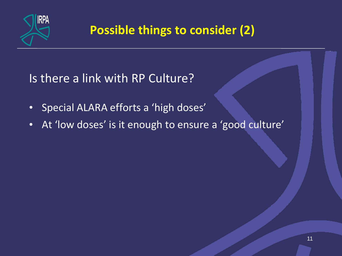

Is there a link with RP Culture?

- Special ALARA efforts a 'high doses'
- At 'low doses' is it enough to ensure a 'good culture'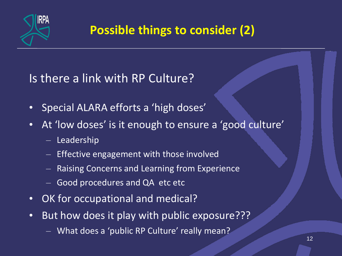

Is there a link with RP Culture?

- Special ALARA efforts a 'high doses'
- At 'low doses' is it enough to ensure a 'good culture'
	- Leadership
	- Effective engagement with those involved
	- Raising Concerns and Learning from Experience
	- Good procedures and QA etc etc
- OK for occupational and medical?
- But how does it play with public exposure???
	- What does a 'public RP Culture' really mean?